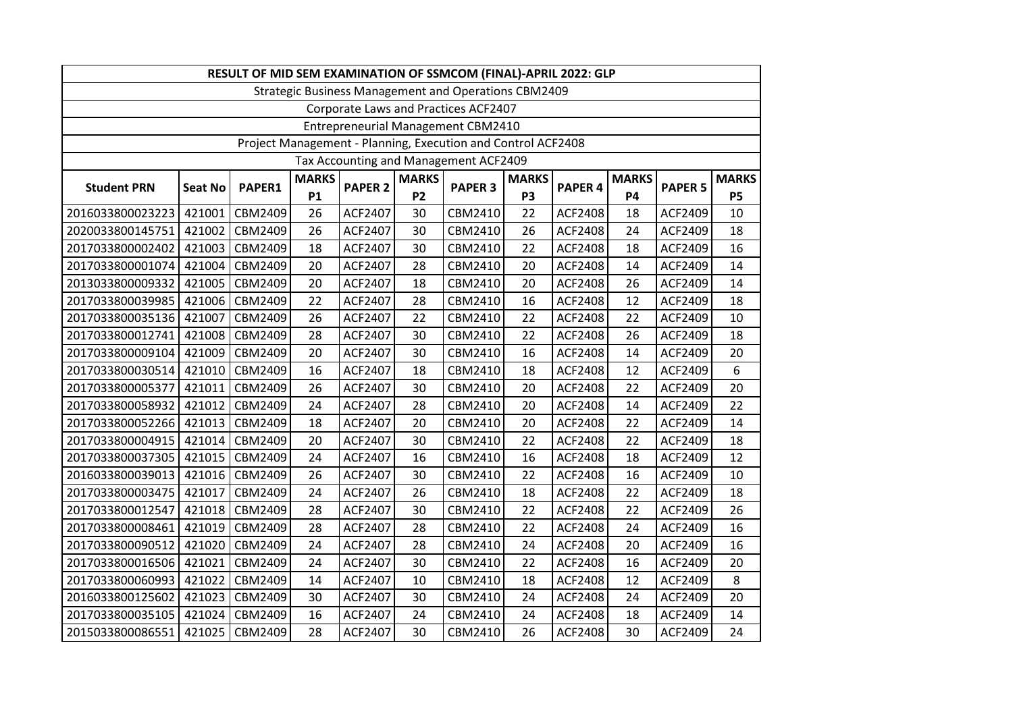| RESULT OF MID SEM EXAMINATION OF SSMCOM (FINAL)-APRIL 2022: GLP |                |         |              |                |              |                |                |                |              |                |              |
|-----------------------------------------------------------------|----------------|---------|--------------|----------------|--------------|----------------|----------------|----------------|--------------|----------------|--------------|
| <b>Strategic Business Management and Operations CBM2409</b>     |                |         |              |                |              |                |                |                |              |                |              |
| Corporate Laws and Practices ACF2407                            |                |         |              |                |              |                |                |                |              |                |              |
| <b>Entrepreneurial Management CBM2410</b>                       |                |         |              |                |              |                |                |                |              |                |              |
| Project Management - Planning, Execution and Control ACF2408    |                |         |              |                |              |                |                |                |              |                |              |
| Tax Accounting and Management ACF2409                           |                |         |              |                |              |                |                |                |              |                |              |
| <b>Student PRN</b>                                              | <b>Seat No</b> | PAPER1  | <b>MARKS</b> | <b>PAPER 2</b> | <b>MARKS</b> | <b>PAPER 3</b> | <b>MARKS</b>   | <b>PAPER 4</b> | <b>MARKS</b> | <b>PAPER 5</b> | <b>MARKS</b> |
|                                                                 |                |         | P1           |                | <b>P2</b>    |                | P <sub>3</sub> |                | <b>P4</b>    |                | <b>P5</b>    |
| 2016033800023223                                                | 421001         | CBM2409 | 26           | ACF2407        | 30           | CBM2410        | 22             | <b>ACF2408</b> | 18           | ACF2409        | 10           |
| 2020033800145751                                                | 421002         | CBM2409 | 26           | ACF2407        | 30           | CBM2410        | 26             | <b>ACF2408</b> | 24           | ACF2409        | 18           |
| 2017033800002402                                                | 421003         | CBM2409 | 18           | ACF2407        | 30           | CBM2410        | 22             | <b>ACF2408</b> | 18           | ACF2409        | 16           |
| 2017033800001074                                                | 421004         | CBM2409 | 20           | ACF2407        | 28           | CBM2410        | 20             | <b>ACF2408</b> | 14           | ACF2409        | 14           |
| 2013033800009332                                                | 421005         | CBM2409 | 20           | ACF2407        | 18           | CBM2410        | 20             | <b>ACF2408</b> | 26           | ACF2409        | 14           |
| 2017033800039985                                                | 421006         | CBM2409 | 22           | ACF2407        | 28           | CBM2410        | 16             | <b>ACF2408</b> | 12           | ACF2409        | 18           |
| 2017033800035136                                                | 421007         | CBM2409 | 26           | ACF2407        | 22           | CBM2410        | 22             | ACF2408        | 22           | ACF2409        | 10           |
| 2017033800012741                                                | 421008         | CBM2409 | 28           | ACF2407        | 30           | CBM2410        | 22             | <b>ACF2408</b> | 26           | ACF2409        | 18           |
| 2017033800009104                                                | 421009         | CBM2409 | 20           | ACF2407        | 30           | CBM2410        | 16             | <b>ACF2408</b> | 14           | ACF2409        | 20           |
| 2017033800030514                                                | 421010         | CBM2409 | 16           | ACF2407        | 18           | CBM2410        | 18             | <b>ACF2408</b> | 12           | ACF2409        | 6            |
| 2017033800005377                                                | 421011         | CBM2409 | 26           | ACF2407        | 30           | CBM2410        | 20             | <b>ACF2408</b> | 22           | ACF2409        | 20           |
| 2017033800058932                                                | 421012         | CBM2409 | 24           | ACF2407        | 28           | CBM2410        | 20             | <b>ACF2408</b> | 14           | ACF2409        | 22           |
| 2017033800052266                                                | 421013         | CBM2409 | 18           | ACF2407        | 20           | CBM2410        | 20             | <b>ACF2408</b> | 22           | ACF2409        | 14           |
| 2017033800004915                                                | 421014         | CBM2409 | 20           | ACF2407        | 30           | CBM2410        | 22             | ACF2408        | 22           | ACF2409        | 18           |
| 2017033800037305                                                | 421015         | CBM2409 | 24           | ACF2407        | 16           | CBM2410        | 16             | ACF2408        | 18           | ACF2409        | 12           |
| 2016033800039013                                                | 421016         | CBM2409 | 26           | ACF2407        | 30           | CBM2410        | 22             | ACF2408        | 16           | ACF2409        | 10           |
| 2017033800003475                                                | 421017         | CBM2409 | 24           | ACF2407        | 26           | CBM2410        | 18             | ACF2408        | 22           | ACF2409        | 18           |
| 2017033800012547                                                | 421018         | CBM2409 | 28           | ACF2407        | 30           | CBM2410        | 22             | <b>ACF2408</b> | 22           | ACF2409        | 26           |
| 2017033800008461                                                | 421019         | CBM2409 | 28           | ACF2407        | 28           | CBM2410        | 22             | ACF2408        | 24           | ACF2409        | 16           |
| 2017033800090512                                                | 421020         | CBM2409 | 24           | ACF2407        | 28           | CBM2410        | 24             | <b>ACF2408</b> | 20           | ACF2409        | 16           |
| 2017033800016506                                                | 421021         | CBM2409 | 24           | ACF2407        | 30           | CBM2410        | 22             | ACF2408        | 16           | ACF2409        | 20           |
| 2017033800060993                                                | 421022         | CBM2409 | 14           | ACF2407        | 10           | CBM2410        | 18             | <b>ACF2408</b> | 12           | ACF2409        | 8            |
| 2016033800125602                                                | 421023         | CBM2409 | 30           | ACF2407        | 30           | CBM2410        | 24             | <b>ACF2408</b> | 24           | ACF2409        | 20           |
| 2017033800035105                                                | 421024         | CBM2409 | 16           | ACF2407        | 24           | CBM2410        | 24             | <b>ACF2408</b> | 18           | ACF2409        | 14           |
| 2015033800086551                                                | 421025         | CBM2409 | 28           | ACF2407        | 30           | CBM2410        | 26             | ACF2408        | 30           | ACF2409        | 24           |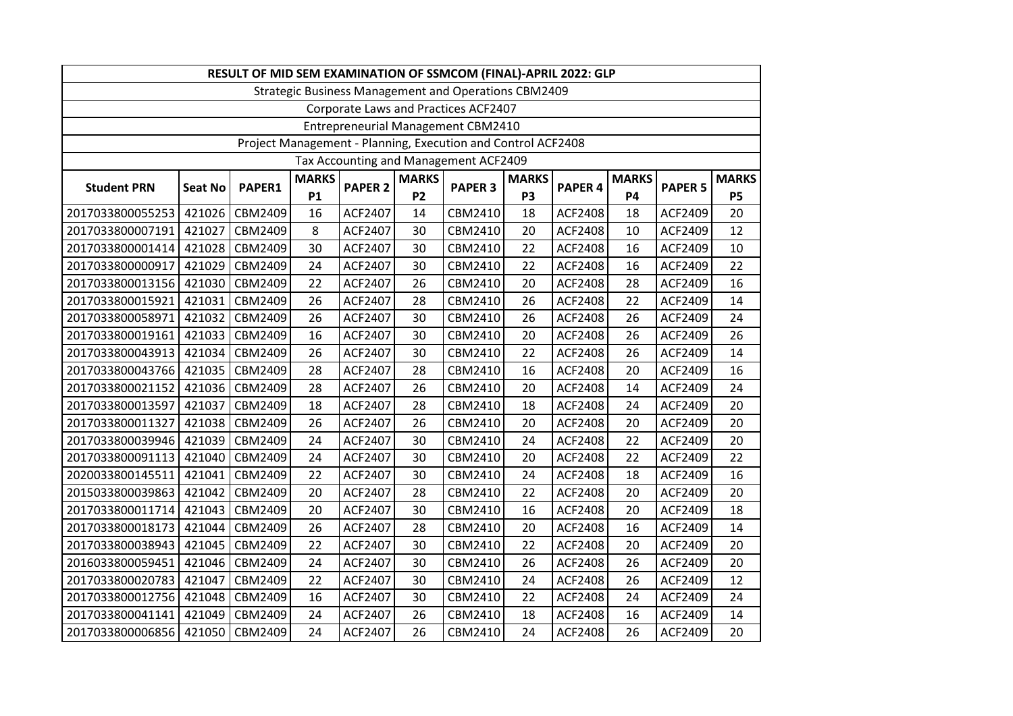| RESULT OF MID SEM EXAMINATION OF SSMCOM (FINAL)-APRIL 2022: GLP |                |         |              |                |                |                |              |                |              |                |              |
|-----------------------------------------------------------------|----------------|---------|--------------|----------------|----------------|----------------|--------------|----------------|--------------|----------------|--------------|
| Strategic Business Management and Operations CBM2409            |                |         |              |                |                |                |              |                |              |                |              |
| Corporate Laws and Practices ACF2407                            |                |         |              |                |                |                |              |                |              |                |              |
| Entrepreneurial Management CBM2410                              |                |         |              |                |                |                |              |                |              |                |              |
| Project Management - Planning, Execution and Control ACF2408    |                |         |              |                |                |                |              |                |              |                |              |
| Tax Accounting and Management ACF2409                           |                |         |              |                |                |                |              |                |              |                |              |
| <b>Student PRN</b>                                              | <b>Seat No</b> | PAPER1  | <b>MARKS</b> | <b>PAPER 2</b> | <b>MARKS</b>   | <b>PAPER 3</b> | <b>MARKS</b> | PAPER 4        | <b>MARKS</b> | <b>PAPER 5</b> | <b>MARKS</b> |
|                                                                 |                |         | <b>P1</b>    |                | P <sub>2</sub> |                | <b>P3</b>    |                | <b>P4</b>    |                | <b>P5</b>    |
| 2017033800055253                                                | 421026         | CBM2409 | 16           | ACF2407        | 14             | CBM2410        | 18           | <b>ACF2408</b> | 18           | ACF2409        | 20           |
| 2017033800007191                                                | 421027         | CBM2409 | 8            | ACF2407        | 30             | CBM2410        | 20           | ACF2408        | 10           | ACF2409        | 12           |
| 2017033800001414                                                | 421028         | CBM2409 | 30           | ACF2407        | 30             | CBM2410        | 22           | <b>ACF2408</b> | 16           | ACF2409        | 10           |
| 2017033800000917                                                | 421029         | CBM2409 | 24           | ACF2407        | 30             | CBM2410        | 22           | <b>ACF2408</b> | 16           | ACF2409        | 22           |
| 2017033800013156                                                | 421030         | CBM2409 | 22           | ACF2407        | 26             | CBM2410        | 20           | ACF2408        | 28           | ACF2409        | 16           |
| 2017033800015921                                                | 421031         | CBM2409 | 26           | ACF2407        | 28             | CBM2410        | 26           | ACF2408        | 22           | ACF2409        | 14           |
| 2017033800058971                                                | 421032         | CBM2409 | 26           | ACF2407        | 30             | CBM2410        | 26           | <b>ACF2408</b> | 26           | ACF2409        | 24           |
| 2017033800019161                                                | 421033         | CBM2409 | 16           | ACF2407        | 30             | CBM2410        | 20           | ACF2408        | 26           | ACF2409        | 26           |
| 2017033800043913                                                | 421034         | CBM2409 | 26           | ACF2407        | 30             | CBM2410        | 22           | ACF2408        | 26           | ACF2409        | 14           |
| 2017033800043766                                                | 421035         | CBM2409 | 28           | ACF2407        | 28             | CBM2410        | 16           | ACF2408        | 20           | ACF2409        | 16           |
| 2017033800021152                                                | 421036         | CBM2409 | 28           | ACF2407        | 26             | CBM2410        | 20           | ACF2408        | 14           | ACF2409        | 24           |
| 2017033800013597                                                | 421037         | CBM2409 | 18           | ACF2407        | 28             | CBM2410        | 18           | <b>ACF2408</b> | 24           | ACF2409        | 20           |
| 2017033800011327                                                | 421038         | CBM2409 | 26           | ACF2407        | 26             | CBM2410        | 20           | ACF2408        | 20           | ACF2409        | 20           |
| 2017033800039946                                                | 421039         | CBM2409 | 24           | ACF2407        | 30             | CBM2410        | 24           | ACF2408        | 22           | ACF2409        | 20           |
| 2017033800091113                                                | 421040         | CBM2409 | 24           | ACF2407        | 30             | CBM2410        | 20           | ACF2408        | 22           | ACF2409        | 22           |
| 2020033800145511                                                | 421041         | CBM2409 | 22           | ACF2407        | 30             | CBM2410        | 24           | <b>ACF2408</b> | 18           | ACF2409        | 16           |
| 2015033800039863                                                | 421042         | CBM2409 | 20           | ACF2407        | 28             | CBM2410        | 22           | ACF2408        | 20           | ACF2409        | 20           |
| 2017033800011714                                                | 421043         | CBM2409 | 20           | ACF2407        | 30             | CBM2410        | 16           | ACF2408        | 20           | ACF2409        | 18           |
| 2017033800018173                                                | 421044         | CBM2409 | 26           | ACF2407        | 28             | CBM2410        | 20           | <b>ACF2408</b> | 16           | ACF2409        | 14           |
| 2017033800038943                                                | 421045         | CBM2409 | 22           | ACF2407        | 30             | CBM2410        | 22           | ACF2408        | 20           | ACF2409        | 20           |
| 2016033800059451                                                | 421046         | CBM2409 | 24           | ACF2407        | 30             | CBM2410        | 26           | ACF2408        | 26           | ACF2409        | 20           |
| 2017033800020783                                                | 421047         | CBM2409 | 22           | ACF2407        | 30             | CBM2410        | 24           | ACF2408        | 26           | ACF2409        | 12           |
| 2017033800012756                                                | 421048         | CBM2409 | 16           | ACF2407        | 30             | CBM2410        | 22           | ACF2408        | 24           | ACF2409        | 24           |
| 2017033800041141                                                | 421049         | CBM2409 | 24           | ACF2407        | 26             | CBM2410        | 18           | <b>ACF2408</b> | 16           | ACF2409        | 14           |
| 2017033800006856                                                | 421050         | CBM2409 | 24           | ACF2407        | 26             | CBM2410        | 24           | ACF2408        | 26           | ACF2409        | 20           |